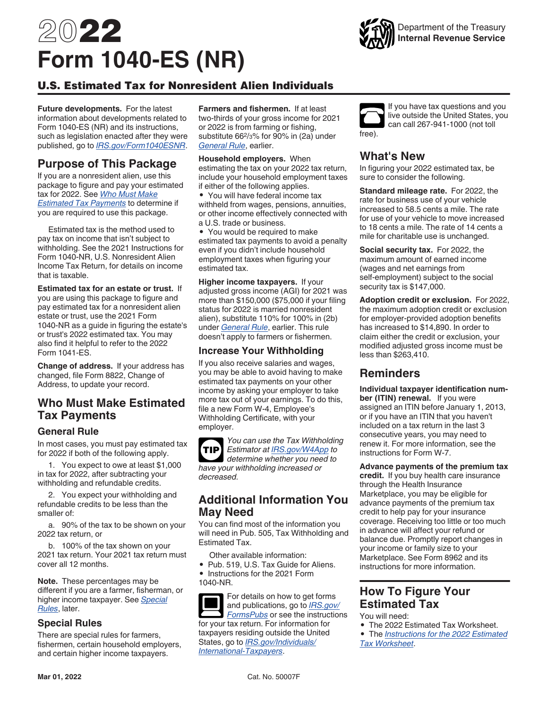# <span id="page-0-0"></span>2022 **Form 1040-ES (NR)**

### U.S. Estimated Tax for Nonresident Alien Individuals

**Future developments.** For the latest information about developments related to Form 1040-ES (NR) and its instructions, such as legislation enacted after they were published, go to *[IRS.gov/Form1040ESNR](https://www.irs.gov/form1040esnr)*.

## **Purpose of This Package**

If you are a nonresident alien, use this package to figure and pay your estimated tax for 2022. See *Who Must Make Estimated Tax Payments* to determine if you are required to use this package.

Estimated tax is the method used to pay tax on income that isn't subject to withholding. See the 2021 Instructions for Form 1040-NR, U.S. Nonresident Alien Income Tax Return, for details on income that is taxable.

**Estimated tax for an estate or trust.** If you are using this package to figure and pay estimated tax for a nonresident alien estate or trust, use the 2021 Form 1040-NR as a guide in figuring the estate's or trust's 2022 estimated tax. You may also find it helpful to refer to the 2022 Form 1041-ES.

**Change of address.** If your address has changed, file Form 8822, Change of Address, to update your record.

## **Who Must Make Estimated Tax Payments**

#### **General Rule**

In most cases, you must pay estimated tax for 2022 if both of the following apply.

1. You expect to owe at least \$1,000 in tax for 2022, after subtracting your withholding and refundable credits.

2. You expect your withholding and refundable credits to be less than the smaller of:

a. 90% of the tax to be shown on your 2022 tax return, or

b. 100% of the tax shown on your 2021 tax return. Your 2021 tax return must cover all 12 months.

**Note.** These percentages may be different if you are a farmer, fisherman, or higher income taxpayer. See *Special Rules*, later.

#### **Special Rules**

There are special rules for farmers, fishermen, certain household employers, and certain higher income taxpayers.

**Farmers and fishermen.** If at least two-thirds of your gross income for 2021 or 2022 is from farming or fishing, substitute 662/3% for 90% in (2a) under *General Rule*, earlier.

**Household employers.** When estimating the tax on your 2022 tax return, include your household employment taxes if either of the following applies.

• You will have federal income tax withheld from wages, pensions, annuities, or other income effectively connected with a U.S. trade or business.

• You would be required to make estimated tax payments to avoid a penalty even if you didn't include household employment taxes when figuring your estimated tax.

**Higher income taxpayers.** If your adjusted gross income (AGI) for 2021 was more than \$150,000 (\$75,000 if your filing status for 2022 is married nonresident alien), substitute 110% for 100% in (2b) under *General Rule*, earlier. This rule doesn't apply to farmers or fishermen.

#### **Increase Your Withholding**

If you also receive salaries and wages, you may be able to avoid having to make estimated tax payments on your other income by asking your employer to take more tax out of your earnings. To do this, file a new Form W-4, Employee's Withholding Certificate, with your employer.

*You can use the Tax Withholding Estimator at [IRS.gov/W4App](https://www.irs.gov/w4app) to*  **TIP** *determine whether you need to have your withholding increased or decreased.*

## **Additional Information You May Need**

You can find most of the information you will need in Pub. 505, Tax Withholding and Estimated Tax.

Other available information:

• Pub. 519, U.S. Tax Guide for Aliens. • Instructions for the 2021 Form 1040-NR.

For details on how to get forms and publications, go to *[IRS.gov/](https://www.irs.gov/formspubs) [FormsPubs](https://www.irs.gov/formspubs)* or see the instructions for your tax return. For information for taxpayers residing outside the United States, go to *[IRS.gov/Individuals/](https://www.irs.gov/Individuals/International-Taxpayers) [International-Taxpayers](https://www.irs.gov/Individuals/International-Taxpayers)*.

If you have tax questions and you live outside the United States, you can call 267-941-1000 (not toll free).

## **What's New**

In figuring your 2022 estimated tax, be sure to consider the following.

**Standard mileage rate.** For 2022, the rate for business use of your vehicle increased to 58.5 cents a mile. The rate for use of your vehicle to move increased to 18 cents a mile. The rate of 14 cents a mile for charitable use is unchanged.

**Social security tax.** For 2022, the maximum amount of earned income (wages and net earnings from self-employment) subject to the social security tax is \$147,000.

**Adoption credit or exclusion.** For 2022, the maximum adoption credit or exclusion for employer-provided adoption benefits has increased to \$14,890. In order to claim either the credit or exclusion, your modified adjusted gross income must be less than \$263,410.

## **Reminders**

**Individual taxpayer identification number (ITIN) renewal.** If you were assigned an ITIN before January 1, 2013, or if you have an ITIN that you haven't included on a tax return in the last 3 consecutive years, you may need to renew it. For more information, see the instructions for Form W-7.

**Advance payments of the premium tax credit.** If you buy health care insurance through the Health Insurance Marketplace, you may be eligible for advance payments of the premium tax credit to help pay for your insurance coverage. Receiving too little or too much in advance will affect your refund or balance due. Promptly report changes in your income or family size to your Marketplace. See Form 8962 and its instructions for more information.

## **How To Figure Your Estimated Tax**

You will need:

• The 2022 Estimated Tax Worksheet.

• The *[Instructions for the 2022 Estimated](#page-2-0) [Tax Worksheet](#page-2-0)*.

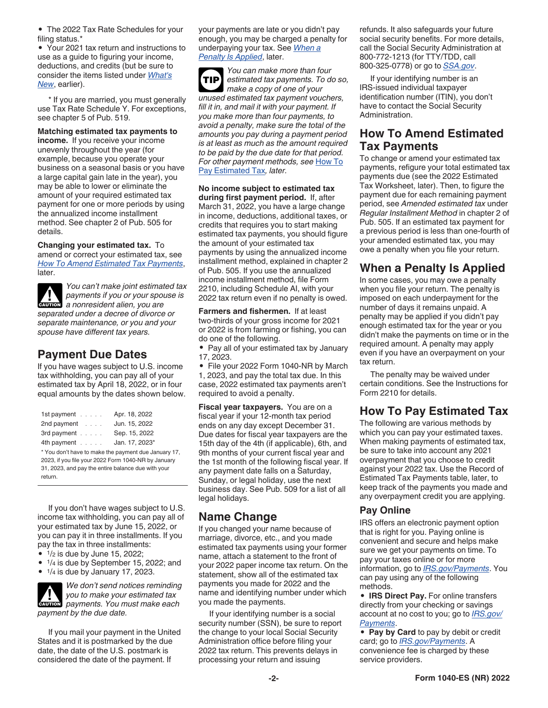• The 2022 Tax Rate Schedules for your filing status.\*

• Your 2021 tax return and instructions to use as a guide to figuring your income, deductions, and credits (but be sure to consider the items listed under *[What's](#page-0-0) [New](#page-0-0)*, earlier).

\* If you are married, you must generally use Tax Rate Schedule Y. For exceptions, see chapter 5 of Pub. 519.

**Matching estimated tax payments to** 

**income.** If you receive your income unevenly throughout the year (for example, because you operate your business on a seasonal basis or you have a large capital gain late in the year), you may be able to lower or eliminate the amount of your required estimated tax payment for one or more periods by using the annualized income installment method. See chapter 2 of Pub. 505 for details.

**Changing your estimated tax.** To amend or correct your estimated tax, see *How To Amend Estimated Tax Payments*, later.

*You can't make joint estimated tax payments if you or your spouse is*  **z** *a nonresident alien, you are a nonresident alien, you are separated under a decree of divorce or separate maintenance, or you and your spouse have different tax years.*

## **Payment Due Dates**

If you have wages subject to U.S. income tax withholding, you can pay all of your estimated tax by April 18, 2022, or in four equal amounts by the dates shown below.

| 1st payment $\ldots$                                                                                                                                                         | Apr. 18, 2022  |
|------------------------------------------------------------------------------------------------------------------------------------------------------------------------------|----------------|
| 2nd payment                                                                                                                                                                  | Jun. 15, 2022  |
| 3rd payment                                                                                                                                                                  | Sep. 15, 2022  |
| 4th payment                                                                                                                                                                  | Jan. 17, 2023* |
| * You don't have to make the payment due January 17,<br>2023, if you file your 2022 Form 1040-NR by January<br>31, 2023, and pay the entire balance due with your<br>return. |                |

If you don't have wages subject to U.S. income tax withholding, you can pay all of your estimated tax by June 15, 2022, or you can pay it in three installments. If you pay the tax in three installments:

 $\bullet$   $1/2$  is due by June 15, 2022;

• 1/4 is due by September 15, 2022; and

• 1/4 is due by January 17, 2023.

*We don't send notices reminding you to make your estimated tax*  you to make your estimated tax *payment by the due date.*

If you mail your payment in the United States and it is postmarked by the due date, the date of the U.S. postmark is considered the date of the payment. If

your payments are late or you didn't pay enough, you may be charged a penalty for underpaying your tax. See *When a Penalty Is Applied*, later.

*You can make more than four estimated tax payments. To do so, make a copy of one of your unused estimated tax payment vouchers, fill it in, and mail it with your payment. If you make more than four payments, to avoid a penalty, make sure the total of the amounts you pay during a payment period is at least as much as the amount required to be paid by the due date for that period. For other payment methods, see* How To Pay Estimated Tax*, later.* **TIP**

#### **No income subject to estimated tax**

**during first payment period.** If, after March 31, 2022, you have a large change in income, deductions, additional taxes, or credits that requires you to start making estimated tax payments, you should figure the amount of your estimated tax payments by using the annualized income installment method, explained in chapter 2 of Pub. 505. If you use the annualized income installment method, file Form 2210, including Schedule AI, with your 2022 tax return even if no penalty is owed.

**Farmers and fishermen.** If at least two-thirds of your gross income for 2021 or 2022 is from farming or fishing, you can do one of the following.

• Pay all of your estimated tax by January 17, 2023.

• File your 2022 Form 1040-NR by March 1, 2023, and pay the total tax due. In this case, 2022 estimated tax payments aren't required to avoid a penalty.

**Fiscal year taxpayers.** You are on a fiscal year if your 12-month tax period ends on any day except December 31. Due dates for fiscal year taxpayers are the 15th day of the 4th (if applicable), 6th, and 9th months of your current fiscal year and the 1st month of the following fiscal year. If any payment date falls on a Saturday, Sunday, or legal holiday, use the next business day. See Pub. 509 for a list of all legal holidays.

## **Name Change**

If you changed your name because of marriage, divorce, etc., and you made estimated tax payments using your former name, attach a statement to the front of your 2022 paper income tax return. On the statement, show all of the estimated tax payments you made for 2022 and the name and identifying number under which you made the payments.

If your identifying number is a social security number (SSN), be sure to report the change to your local Social Security Administration office before filing your 2022 tax return. This prevents delays in processing your return and issuing

refunds. It also safeguards your future social security benefits. For more details, call the Social Security Administration at 800-772-1213 (for TTY/TDD, call 800-325-0778) or go to *[SSA.gov](https://www.ssa.gov/)*.

If your identifying number is an IRS-issued individual taxpayer identification number (ITIN), you don't have to contact the Social Security Administration.

## **How To Amend Estimated Tax Payments**

To change or amend your estimated tax payments, refigure your total estimated tax payments due (see the 2022 Estimated Tax Worksheet, later). Then, to figure the payment due for each remaining payment period, see *Amended estimated tax* under *Regular Installment Method* in chapter 2 of Pub. 505. If an estimated tax payment for a previous period is less than one-fourth of your amended estimated tax, you may owe a penalty when you file your return.

## **When a Penalty Is Applied**

In some cases, you may owe a penalty when you file your return. The penalty is imposed on each underpayment for the number of days it remains unpaid. A penalty may be applied if you didn't pay enough estimated tax for the year or you didn't make the payments on time or in the required amount. A penalty may apply even if you have an overpayment on your tax return.

The penalty may be waived under certain conditions. See the Instructions for Form 2210 for details.

## **How To Pay Estimated Tax**

The following are various methods by which you can pay your estimated taxes. When making payments of estimated tax, be sure to take into account any 2021 overpayment that you choose to credit against your 2022 tax. Use the Record of Estimated Tax Payments table, later, to keep track of the payments you made and any overpayment credit you are applying.

#### **Pay Online**

IRS offers an electronic payment option that is right for you. Paying online is convenient and secure and helps make sure we get your payments on time. To pay your taxes online or for more information, go to *[IRS.gov/Payments](https://www.irs.gov/payments)*. You can pay using any of the following methods.

• **IRS Direct Pay.** For online transfers directly from your checking or savings account at no cost to you; go to *[IRS.gov/](https://www.irs.gov/payments) [Payments](https://www.irs.gov/payments)*.

• **Pay by Card** to pay by debit or credit card; go to *[IRS.gov/Payments](https://www.irs.gov/payments)*. A convenience fee is charged by these service providers.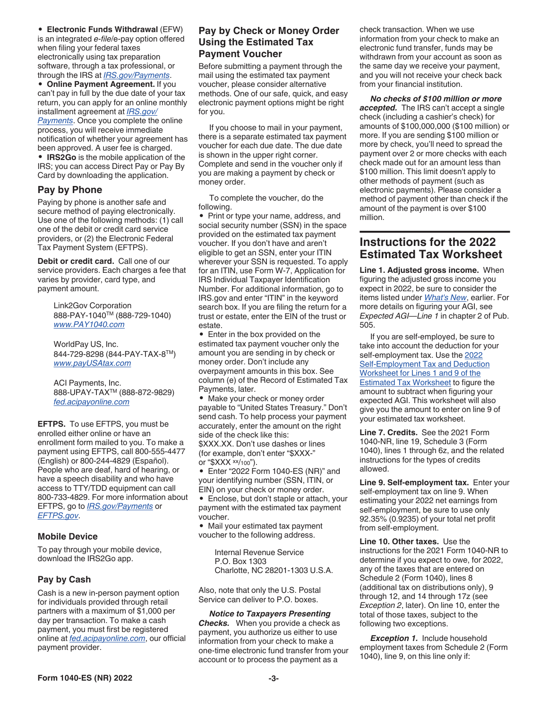#### <span id="page-2-0"></span>• **Electronic Funds Withdrawal** (EFW)

is an integrated *e-file*/e-pay option offered when filing your federal taxes electronically using tax preparation software, through a tax professional, or through the IRS at *[IRS.gov/Payments](https://www.irs.gov/payments)*.

• **Online Payment Agreement.** If you can't pay in full by the due date of your tax return, you can apply for an online monthly installment agreement at *[IRS.gov/](https://www.irs.gov/payments) [Payments](https://www.irs.gov/payments)*. Once you complete the online process, you will receive immediate notification of whether your agreement has been approved. A user fee is charged.

• **IRS2Go** is the mobile application of the IRS; you can access Direct Pay or Pay By Card by downloading the application.

#### **Pay by Phone**

Paying by phone is another safe and secure method of paying electronically. Use one of the following methods: (1) call one of the debit or credit card service providers, or (2) the Electronic Federal Tax Payment System (EFTPS).

**Debit or credit card.** Call one of our service providers. Each charges a fee that varies by provider, card type, and payment amount.

> Link2Gov Corporation 888-PAY-1040TM (888-729-1040) *[www.PAY1040.com](https://www.PAY1040.com)*

WorldPay US, Inc. 844-729-8298 (844-PAY-TAX-8TM) *[www.payUSAtax.com](https://www.payusatax.com)*

ACI Payments, Inc. 888-UPAY-TAXTM (888-872-9829) *[fed.acipayonline.com](https://fed.acipayonline.com)*

**EFTPS.** To use EFTPS, you must be enrolled either online or have an enrollment form mailed to you. To make a payment using EFTPS, call 800-555-4477 (English) or 800-244-4829 (Español). People who are deaf, hard of hearing, or have a speech disability and who have access to TTY/TDD equipment can call 800-733-4829. For more information about EFTPS, go to *[IRS.gov/Payments](https://www.irs.gov/payments)* or *[EFTPS.gov](https://www.eftps.gov)*.

#### **Mobile Device**

To pay through your mobile device, download the IRS2Go app.

#### **Pay by Cash**

Cash is a new in-person payment option for individuals provided through retail partners with a maximum of \$1,000 per day per transaction. To make a cash payment, you must first be registered online at *[fed.acipayonline.com](https://fed.acipayonline.com)*, our official payment provider.

#### **Pay by Check or Money Order Using the Estimated Tax Payment Voucher**

Before submitting a payment through the mail using the estimated tax payment voucher, please consider alternative methods. One of our safe, quick, and easy electronic payment options might be right for you.

If you choose to mail in your payment, there is a separate estimated tax payment voucher for each due date. The due date is shown in the upper right corner. Complete and send in the voucher only if you are making a payment by check or money order.

To complete the voucher, do the following.

• Print or type your name, address, and social security number (SSN) in the space provided on the estimated tax payment voucher. If you don't have and aren't eligible to get an SSN, enter your ITIN wherever your SSN is requested. To apply for an ITIN, use Form W-7, Application for IRS Individual Taxpayer Identification Number. For additional information, go to IRS.gov and enter "ITIN" in the keyword search box. If you are filing the return for a trust or estate, enter the EIN of the trust or estate.

• Enter in the box provided on the estimated tax payment voucher only the amount you are sending in by check or money order. Don't include any overpayment amounts in this box. See column (e) of the Record of Estimated Tax Payments, later.

• Make your check or money order payable to "United States Treasury." Don't send cash. To help process your payment accurately, enter the amount on the right side of the check like this: \$XXX.XX. Don't use dashes or lines (for example, don't enter "\$XXX-" or "\$XXX xx/100").

• Enter "2022 Form 1040-ES (NR)" and your identifying number (SSN, ITIN, or EIN) on your check or money order.

• Enclose, but don't staple or attach, your payment with the estimated tax payment voucher.

• Mail your estimated tax payment voucher to the following address.

Internal Revenue Service P.O. Box 1303 Charlotte, NC 28201-1303 U.S.A.

Also, note that only the U.S. Postal Service can deliver to P.O. boxes.

*Notice to Taxpayers Presenting Checks.* When you provide a check as payment, you authorize us either to use information from your check to make a one-time electronic fund transfer from your account or to process the payment as a

check transaction. When we use information from your check to make an electronic fund transfer, funds may be withdrawn from your account as soon as the same day we receive your payment, and you will not receive your check back from your financial institution.

*No checks of \$100 million or more accepted.* The IRS can't accept a single check (including a cashier's check) for amounts of \$100,000,000 (\$100 million) or more. If you are sending \$100 million or more by check, you'll need to spread the payment over 2 or more checks with each check made out for an amount less than \$100 million. This limit doesn't apply to other methods of payment (such as electronic payments). Please consider a method of payment other than check if the amount of the payment is over \$100 million.

### **Instructions for the 2022 Estimated Tax Worksheet**

**Line 1. Adjusted gross income.** When figuring the adjusted gross income you expect in 2022, be sure to consider the items listed under *[What's New](#page-0-0)*, earlier. For more details on figuring your AGI, see *Expected AGI—Line 1* in chapter 2 of Pub. 505.

If you are self-employed, be sure to take into account the deduction for your self-employment tax. Use the [2022](#page-3-0)  [Self-Employment Tax and Deduction](#page-3-0) [Worksheet for Lines 1 and 9 of the](#page-3-0) [Estimated Tax Worksheet](#page-3-0) to figure the amount to subtract when figuring your expected AGI. This worksheet will also give you the amount to enter on line 9 of your estimated tax worksheet.

**Line 7. Credits.** See the 2021 Form 1040-NR, line 19, Schedule 3 (Form 1040), lines 1 through 6z, and the related instructions for the types of credits allowed.

**Line 9. Self-employment tax.** Enter your self-employment tax on line 9. When estimating your 2022 net earnings from self-employment, be sure to use only 92.35% (0.9235) of your total net profit from self-employment.

**Line 10. Other taxes.** Use the instructions for the 2021 Form 1040-NR to determine if you expect to owe, for 2022, any of the taxes that are entered on Schedule 2 (Form 1040), lines 8 (additional tax on distributions only), 9 through 12, and 14 through 17z (see *Exception 2*, later). On line 10, enter the total of those taxes, subject to the following two exceptions.

**Exception 1.** Include household employment taxes from Schedule 2 (Form 1040), line 9, on this line only if: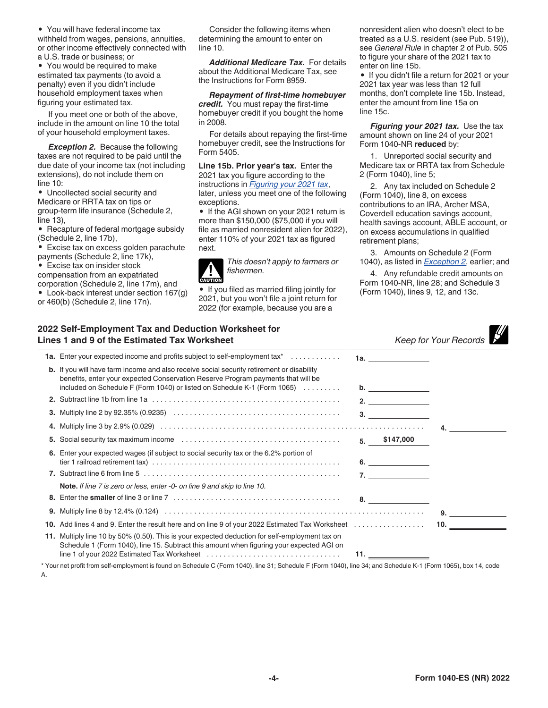<span id="page-3-0"></span>• You will have federal income tax withheld from wages, pensions, annuities, or other income effectively connected with a U.S. trade or business; or

• You would be required to make estimated tax payments (to avoid a penalty) even if you didn't include household employment taxes when figuring your estimated tax.

If you meet one or both of the above, include in the amount on line 10 the total of your household employment taxes.

**Exception 2.** Because the following taxes are not required to be paid until the due date of your income tax (not including extensions), do not include them on line 10:

• Uncollected social security and Medicare or RRTA tax on tips or group-term life insurance (Schedule 2, line 13),

• Recapture of federal mortgage subsidy (Schedule 2, line 17b),

• Excise tax on excess golden parachute payments (Schedule 2, line 17k),

• Excise tax on insider stock

compensation from an expatriated

corporation (Schedule 2, line 17m), and • Look-back interest under section 167(g)

or 460(b) (Schedule 2, line 17n).

Consider the following items when determining the amount to enter on line 10.

*Additional Medicare Tax.* For details about the Additional Medicare Tax, see the Instructions for Form 8959.

*Repayment of first-time homebuyer credit.* You must repay the first-time homebuyer credit if you bought the home in 2008.

For details about repaying the first-time homebuyer credit, see the Instructions for Form 5405.

**Line 15b. Prior year's tax.** Enter the 2021 tax you figure according to the instructions in *Figuring your 2021 tax*, later, unless you meet one of the following exceptions.

• If the AGI shown on your 2021 return is more than \$150,000 (\$75,000 if you will file as married nonresident alien for 2022), enter 110% of your 2021 tax as figured next.

*This doesn't apply to farmers or fishermen.* **!**

**CAUTION**

• If you filed as married filing jointly for 2021, but you won't file a joint return for 2022 (for example, because you are a

nonresident alien who doesn't elect to be treated as a U.S. resident (see Pub. 519)), see *General Rule* in chapter 2 of Pub. 505 to figure your share of the 2021 tax to enter on line 15b.

• If you didn't file a return for 2021 or your 2021 tax year was less than 12 full months, don't complete line 15b. Instead, enter the amount from line 15a on line 15c.

**Figuring your 2021 tax.** Use the tax amount shown on line 24 of your 2021 Form 1040-NR **reduced** by:

1. Unreported social security and Medicare tax or RRTA tax from Schedule 2 (Form 1040), line 5;

2. Any tax included on Schedule 2 (Form 1040), line 8, on excess contributions to an IRA, Archer MSA, Coverdell education savings account, health savings account, ABLE account, or on excess accumulations in qualified retirement plans;

3. Amounts on Schedule 2 (Form 1040), as listed in *Exception 2*, earlier; and

4. Any refundable credit amounts on Form 1040-NR, line 28; and Schedule 3 (Form 1040), lines 9, 12, and 13c.

| 2022 Self-Employment Tax and Deduction Worksheet for |
|------------------------------------------------------|
| Lines 1 and 9 of the Estimated Tax Worksheet         |

| 022 Self-Employment Tax and Deduction Worksheet for<br>ines 1 and 9 of the Estimated Tax Worksheet                                                                                                                                                               |                                                                                                                                    | Keep for Your Records                                                                                                                                                                            |
|------------------------------------------------------------------------------------------------------------------------------------------------------------------------------------------------------------------------------------------------------------------|------------------------------------------------------------------------------------------------------------------------------------|--------------------------------------------------------------------------------------------------------------------------------------------------------------------------------------------------|
| <b>1a.</b> Enter your expected income and profits subject to self-employment tax <sup>*</sup>                                                                                                                                                                    |                                                                                                                                    |                                                                                                                                                                                                  |
| <b>b.</b> If you will have farm income and also receive social security retirement or disability<br>benefits, enter your expected Conservation Reserve Program payments that will be<br>included on Schedule F (Form 1040) or listed on Schedule K-1 (Form 1065) |                                                                                                                                    |                                                                                                                                                                                                  |
|                                                                                                                                                                                                                                                                  |                                                                                                                                    |                                                                                                                                                                                                  |
| <b>3.</b> Multiply line 2 by 92.35% (0.9235) $\ldots \ldots \ldots \ldots \ldots \ldots \ldots \ldots \ldots \ldots \ldots \ldots \ldots$                                                                                                                        |                                                                                                                                    |                                                                                                                                                                                                  |
|                                                                                                                                                                                                                                                                  |                                                                                                                                    |                                                                                                                                                                                                  |
|                                                                                                                                                                                                                                                                  |                                                                                                                                    |                                                                                                                                                                                                  |
| 6. Enter your expected wages (if subject to social security tax or the 6.2% portion of                                                                                                                                                                           |                                                                                                                                    |                                                                                                                                                                                                  |
|                                                                                                                                                                                                                                                                  |                                                                                                                                    |                                                                                                                                                                                                  |
| Note. If line 7 is zero or less, enter -0- on line 9 and skip to line 10.                                                                                                                                                                                        |                                                                                                                                    |                                                                                                                                                                                                  |
|                                                                                                                                                                                                                                                                  |                                                                                                                                    |                                                                                                                                                                                                  |
|                                                                                                                                                                                                                                                                  |                                                                                                                                    | $9.$ and $1.$                                                                                                                                                                                    |
|                                                                                                                                                                                                                                                                  |                                                                                                                                    | 10. $\qquad \qquad$                                                                                                                                                                              |
| 11. Multiply line 10 by 50% (0.50). This is your expected deduction for self-employment tax on<br>Schedule 1 (Form 1040), line 15. Subtract this amount when figuring your expected AGI on                                                                       |                                                                                                                                    |                                                                                                                                                                                                  |
|                                                                                                                                                                                                                                                                  | <b>5.</b> Social security tax maximum income $\ldots \ldots \ldots \ldots \ldots \ldots \ldots \ldots \ldots \ldots \ldots \ldots$ | 1a. _______________<br>2. $\qquad \qquad$<br>3.<br>$5.$ \$147,000<br>6.<br>7. $\qquad \qquad$<br>10. Add lines 4 and 9. Enter the result here and on line 9 of your 2022 Estimated Tax Worksheet |

\* Your net profit from self-employment is found on Schedule C (Form 1040), line 31; Schedule F (Form 1040), line 34; and Schedule K-1 (Form 1065), box 14, code A.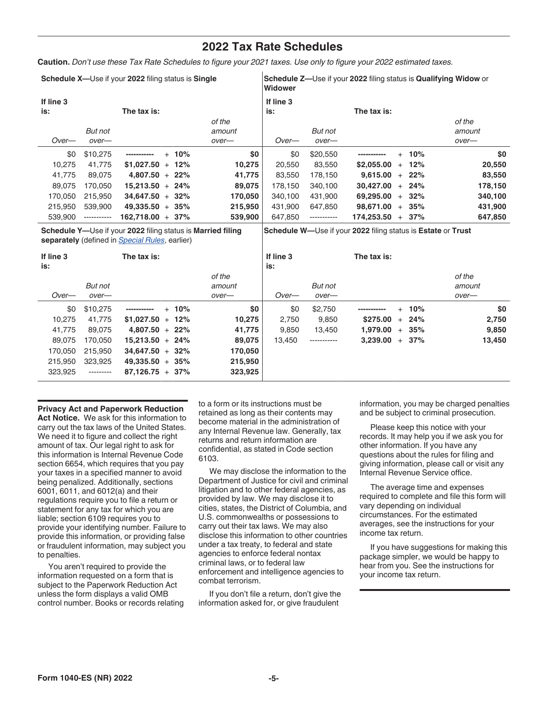## **2022 Tax Rate Schedules**

**Caution.** *Don't use these Tax Rate Schedules to figure your 2021 taxes. Use only to figure your 2022 estimated taxes.*

|           | Schedule X-Use if your 2022 filing status is Single |                    |          |         |           | <b>Schedule Z—Use if your 2022 filing status is Qualifying Widow or</b><br>Widower |                   |          |         |  |
|-----------|-----------------------------------------------------|--------------------|----------|---------|-----------|------------------------------------------------------------------------------------|-------------------|----------|---------|--|
| If line 3 |                                                     |                    |          |         | If line 3 |                                                                                    |                   |          |         |  |
| is:       |                                                     | The tax is:        |          |         | is:       |                                                                                    | The tax is:       |          |         |  |
|           |                                                     |                    |          | of the  |           |                                                                                    |                   |          | of the  |  |
|           | But not                                             |                    |          | amount  |           | But not                                                                            |                   |          | amount  |  |
| $Over-$   | $over-$                                             |                    |          | over-   | $Over-$   | over-                                                                              |                   |          | over-   |  |
| \$0       | \$10,275                                            | -----------        | $+ 10\%$ | \$0     | \$0       | \$20,550                                                                           | -----------       | $+ 10\%$ | \$0     |  |
| 10.275    | 41.775                                              | $$1,027.50 + 12\%$ |          | 10,275  | 20.550    | 83,550                                                                             | \$2,055,00<br>$+$ | 12%      | 20,550  |  |
| 41.775    | 89.075                                              | $4.807.50 + 22\%$  |          | 41,775  | 83.550    | 178.150                                                                            | 9.615.00<br>$+$   | 22%      | 83,550  |  |
| 89.075    | 170.050                                             | $15.213.50 + 24\%$ |          | 89,075  | 178.150   | 340,100                                                                            | 30.427.00         | $+24%$   | 178,150 |  |
| 170.050   | 215,950                                             | $34.647.50 + 32\%$ |          | 170.050 | 340.100   | 431.900                                                                            | 69.295.00<br>$+$  | $32\%$   | 340,100 |  |
| 215,950   | 539,900                                             | $49.335.50 + 35\%$ |          | 215,950 | 431.900   | 647.850                                                                            | 98.671.00         | $+35%$   | 431,900 |  |
| 539.900   | -----------                                         | $162.718.00 + 37%$ |          | 539,900 | 647.850   | -----------                                                                        | 174.253.50<br>$+$ | 37%      | 647,850 |  |

**Schedule Y—**Use if your **2022** filing status is **Married filing separately** (defined in *[Special Rules](#page-0-0)*, earlier) **Schedule W—**Use if your **2022** filing status is **Estate** or **Trust**

| If line 3<br>is: |           | The tax is:             |         | If line 3<br>is: |             | The tax is: |          |        |
|------------------|-----------|-------------------------|---------|------------------|-------------|-------------|----------|--------|
|                  |           |                         | of the  |                  |             |             |          | of the |
|                  | But not   |                         | amount  |                  | But not     |             |          | amount |
| $Over-$          | over-     |                         | over-   | Over-            | over-       |             |          | over-  |
| \$0              | \$10,275  | $+ 10\%$<br>----------- | \$0     | \$0              | \$2.750     |             | $+ 10\%$ | \$0    |
| 10.275           | 41.775    | $$1,027.50 + 12\%$      | 10,275  | 2,750            | 9,850       | \$275,00    | $+24%$   | 2,750  |
| 41,775           | 89.075    | $4.807.50 + 22\%$       | 41,775  | 9.850            | 13.450      | 1.979.00    | $+35%$   | 9,850  |
| 89.075           | 170.050   | $15,213.50 + 24\%$      | 89,075  | 13.450           | ----------- | 3,239.00    | $+37%$   | 13,450 |
| 170.050          | 215,950   | $34,647.50 + 32\%$      | 170,050 |                  |             |             |          |        |
| 215.950          | 323.925   | $49,335.50 + 35\%$      | 215,950 |                  |             |             |          |        |
| 323.925          | --------- | $87,126.75 + 37\%$      | 323,925 |                  |             |             |          |        |

**Privacy Act and Paperwork Reduction Act Notice.** We ask for this information to carry out the tax laws of the United States. We need it to figure and collect the right amount of tax. Our legal right to ask for this information is Internal Revenue Code section 6654, which requires that you pay your taxes in a specified manner to avoid being penalized. Additionally, sections 6001, 6011, and 6012(a) and their regulations require you to file a return or statement for any tax for which you are liable; section 6109 requires you to provide your identifying number. Failure to provide this information, or providing false or fraudulent information, may subject you to penalties.

You aren't required to provide the information requested on a form that is subject to the Paperwork Reduction Act unless the form displays a valid OMB control number. Books or records relating to a form or its instructions must be retained as long as their contents may become material in the administration of any Internal Revenue law. Generally, tax returns and return information are confidential, as stated in Code section 6103.

We may disclose the information to the Department of Justice for civil and criminal litigation and to other federal agencies, as provided by law. We may disclose it to cities, states, the District of Columbia, and U.S. commonwealths or possessions to carry out their tax laws. We may also disclose this information to other countries under a tax treaty, to federal and state agencies to enforce federal nontax criminal laws, or to federal law enforcement and intelligence agencies to combat terrorism.

If you don't file a return, don't give the information asked for, or give fraudulent

information, you may be charged penalties and be subject to criminal prosecution.

Please keep this notice with your records. It may help you if we ask you for other information. If you have any questions about the rules for filing and giving information, please call or visit any Internal Revenue Service office.

The average time and expenses required to complete and file this form will vary depending on individual circumstances. For the estimated averages, see the instructions for your income tax return.

If you have suggestions for making this package simpler, we would be happy to hear from you. See the instructions for your income tax return.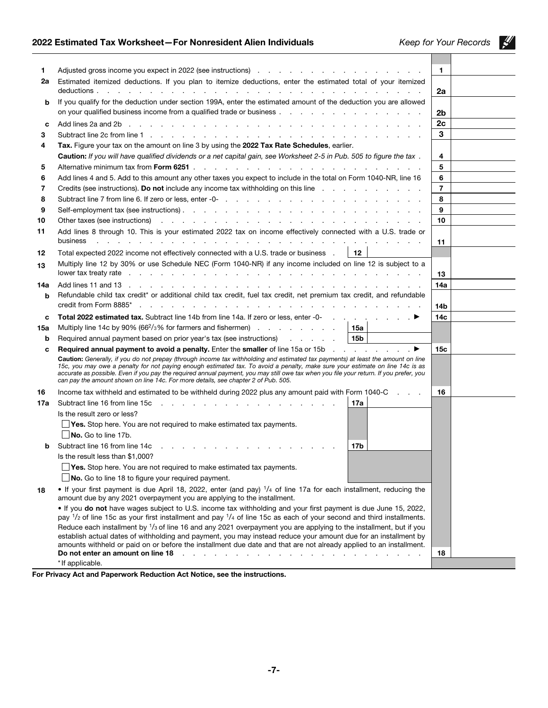## 2022 Estimated Tax Worksheet—For Nonresident Alien Individuals *Keep for Your Records*

 $\frac{M}{2}$ 

| 1.  | Adjusted gross income you expect in 2022 (see instructions) reading the contract of the contract of the Adjusted gross in the contract of Adjusted gross income you expect in 2022 (see instructions)                                                                                                                                                                                                                                                                                             | 1.              |  |
|-----|---------------------------------------------------------------------------------------------------------------------------------------------------------------------------------------------------------------------------------------------------------------------------------------------------------------------------------------------------------------------------------------------------------------------------------------------------------------------------------------------------|-----------------|--|
| 2a  | Estimated itemized deductions. If you plan to itemize deductions, enter the estimated total of your itemized                                                                                                                                                                                                                                                                                                                                                                                      | 2a              |  |
| b   | If you qualify for the deduction under section 199A, enter the estimated amount of the deduction you are allowed                                                                                                                                                                                                                                                                                                                                                                                  |                 |  |
|     |                                                                                                                                                                                                                                                                                                                                                                                                                                                                                                   | 2b              |  |
| C   | de la caractería de la caractería de la caractería de la caractería de la caractería<br>Add lines 2a and 2b                                                                                                                                                                                                                                                                                                                                                                                       | 2c              |  |
| 3   |                                                                                                                                                                                                                                                                                                                                                                                                                                                                                                   | 3               |  |
| 4   | Tax. Figure your tax on the amount on line 3 by using the 2022 Tax Rate Schedules, earlier.                                                                                                                                                                                                                                                                                                                                                                                                       |                 |  |
|     | Caution: If you will have qualified dividends or a net capital gain, see Worksheet 2-5 in Pub. 505 to figure the tax.                                                                                                                                                                                                                                                                                                                                                                             | 4               |  |
| 5   |                                                                                                                                                                                                                                                                                                                                                                                                                                                                                                   | 5               |  |
| 6   | Add lines 4 and 5. Add to this amount any other taxes you expect to include in the total on Form 1040-NR, line 16                                                                                                                                                                                                                                                                                                                                                                                 | 6               |  |
| 7   | Credits (see instructions). Do not include any income tax withholding on this line                                                                                                                                                                                                                                                                                                                                                                                                                | $\overline{7}$  |  |
| 8   |                                                                                                                                                                                                                                                                                                                                                                                                                                                                                                   | 8               |  |
| 9   |                                                                                                                                                                                                                                                                                                                                                                                                                                                                                                   | 9               |  |
| 10  |                                                                                                                                                                                                                                                                                                                                                                                                                                                                                                   | 10              |  |
| 11  | Add lines 8 through 10. This is your estimated 2022 tax on income effectively connected with a U.S. trade or                                                                                                                                                                                                                                                                                                                                                                                      |                 |  |
|     | business<br>a construction of the construction of the construction of the construction of the construction of the construction of the construction of the construction of the construction of the construction of the construction of the                                                                                                                                                                                                                                                         | 11              |  |
| 12  | $\vert$ 12<br>Total expected 2022 income not effectively connected with a U.S. trade or business.                                                                                                                                                                                                                                                                                                                                                                                                 |                 |  |
| 13  | Multiply line 12 by 30% or use Schedule NEC (Form 1040-NR) if any income included on line 12 is subject to a<br>lower tax treaty rate response to the contract of the contract of the contract of the contract of the contract of the contract of the contract of the contract of the contract of the contract of the contract of the contract                                                                                                                                                    | 13              |  |
| 14a |                                                                                                                                                                                                                                                                                                                                                                                                                                                                                                   | 14a             |  |
| b   | Refundable child tax credit* or additional child tax credit, fuel tax credit, net premium tax credit, and refundable<br>credit from Form 8885* (engine and engine and engine and engine and engine and engine and engine and engine and engine and engine and engine and engine and engine and engine and engine and engine and engine and engine and                                                                                                                                             | 14 <sub>b</sub> |  |
| c   | Total 2022 estimated tax. Subtract line 14b from line 14a. If zero or less, enter -0- ▶                                                                                                                                                                                                                                                                                                                                                                                                           | 14c             |  |
| 15a | Multiply line 14c by 90% (66 <sup>2</sup> / <sub>3</sub> % for farmers and fishermen) $\ldots$ 15a                                                                                                                                                                                                                                                                                                                                                                                                |                 |  |
| b   | Required annual payment based on prior year's tax (see instructions) 15b                                                                                                                                                                                                                                                                                                                                                                                                                          |                 |  |
| c   | Required annual payment to avoid a penalty. Enter the smaller of line 15a or 15b ▶                                                                                                                                                                                                                                                                                                                                                                                                                | 15 <sub>c</sub> |  |
|     | Caution: Generally, if you do not prepay (through income tax withholding and estimated tax payments) at least the amount on line<br>15c, you may owe a penalty for not paying enough estimated tax. To avoid a penalty, make sure your estimate on line 14c is as<br>accurate as possible. Even if you pay the required annual payment, you may still owe tax when you file your return. If you prefer, you<br>can pay the amount shown on line 14c. For more details, see chapter 2 of Pub. 505. |                 |  |
| 16  | Income tax withheld and estimated to be withheld during 2022 plus any amount paid with Form 1040-C                                                                                                                                                                                                                                                                                                                                                                                                | 16              |  |
| 17a | 17a                                                                                                                                                                                                                                                                                                                                                                                                                                                                                               |                 |  |
|     | Is the result zero or less?                                                                                                                                                                                                                                                                                                                                                                                                                                                                       |                 |  |
|     | $\Box$ Yes. Stop here. You are not required to make estimated tax payments.                                                                                                                                                                                                                                                                                                                                                                                                                       |                 |  |
|     | No. Go to line 17b.                                                                                                                                                                                                                                                                                                                                                                                                                                                                               |                 |  |
| b   | Subtract line 16 from line 14c<br>17b                                                                                                                                                                                                                                                                                                                                                                                                                                                             |                 |  |
|     | Is the result less than \$1,000?                                                                                                                                                                                                                                                                                                                                                                                                                                                                  |                 |  |
|     | $\Box$ Yes. Stop here. You are not required to make estimated tax payments.                                                                                                                                                                                                                                                                                                                                                                                                                       |                 |  |
|     | No. Go to line 18 to figure your required payment.                                                                                                                                                                                                                                                                                                                                                                                                                                                |                 |  |
| 18  | • If your first payment is due April 18, 2022, enter (and pay) 1/4 of line 17a for each installment, reducing the<br>amount due by any 2021 overpayment you are applying to the installment.                                                                                                                                                                                                                                                                                                      |                 |  |
|     | . If you do not have wages subject to U.S. income tax withholding and your first payment is due June 15, 2022,<br>pay $1/2$ of line 15c as your first installment and pay $1/4$ of line 15c as each of your second and third installments.                                                                                                                                                                                                                                                        |                 |  |
|     | Reduce each installment by 1/3 of line 16 and any 2021 overpayment you are applying to the installment, but if you<br>establish actual dates of withholding and payment, you may instead reduce your amount due for an installment by                                                                                                                                                                                                                                                             |                 |  |
|     | amounts withheld or paid on or before the installment due date and that are not already applied to an installment.                                                                                                                                                                                                                                                                                                                                                                                |                 |  |
|     | Do not enter an amount on line 18<br>n.<br>and a state of the state of the state<br><b>Contractor</b><br>$\mathcal{L}$<br>* If applicable.                                                                                                                                                                                                                                                                                                                                                        | 18              |  |
|     |                                                                                                                                                                                                                                                                                                                                                                                                                                                                                                   |                 |  |

For Privacy Act and Paperwork Reduction Act Notice, see the instructions.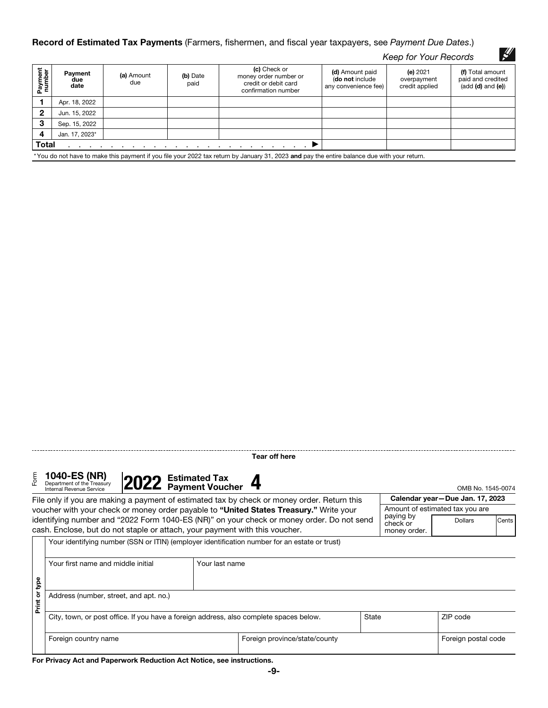#### Record of Estimated Tax Payments (Farmers, fishermen, and fiscal year taxpayers, see *Payment Due Dates*.)

|                   |                        |                   |                  |                                                                                      |                                                            | Keep for Your Records                       | $\mathscr{L}'$                                               |
|-------------------|------------------------|-------------------|------------------|--------------------------------------------------------------------------------------|------------------------------------------------------------|---------------------------------------------|--------------------------------------------------------------|
| Payment<br>number | Payment<br>due<br>date | (a) Amount<br>due | (b) Date<br>paid | (c) Check or<br>money order number or<br>credit or debit card<br>confirmation number | (d) Amount paid<br>(do not include<br>any convenience fee) | (e) $2021$<br>overpayment<br>credit applied | (f) Total amount<br>paid and credited<br>$(add (d) and (e))$ |
|                   | Apr. 18, 2022          |                   |                  |                                                                                      |                                                            |                                             |                                                              |
| $\mathbf{2}$      | Jun. 15, 2022          |                   |                  |                                                                                      |                                                            |                                             |                                                              |
| 3                 | Sep. 15, 2022          |                   |                  |                                                                                      |                                                            |                                             |                                                              |
| 4                 | Jan. 17, 2023*         |                   |                  |                                                                                      |                                                            |                                             |                                                              |
| <b>Total</b>      |                        |                   |                  |                                                                                      |                                                            |                                             |                                                              |

\*You do not have to make this payment if you file your 2022 tax return by January 31, 2023 and pay the entire balance due with your return.

Tear off here

Form **1040-ES (NR)**<br>Department of the Treasury



|                                                                                        | File only if you are making a payment of estimated tax by check or money order. Return this |  | Calendar year-Due Jan. 17, 2023                                                               |                       |                                 |       |
|----------------------------------------------------------------------------------------|---------------------------------------------------------------------------------------------|--|-----------------------------------------------------------------------------------------------|-----------------------|---------------------------------|-------|
| voucher with your check or money order payable to "United States Treasury." Write your |                                                                                             |  |                                                                                               |                       | Amount of estimated tax you are |       |
|                                                                                        |                                                                                             |  | identifying number and "2022 Form 1040-ES (NR)" on your check or money order. Do not send     | paying by<br>check or | <b>Dollars</b>                  | Cents |
|                                                                                        |                                                                                             |  | cash. Enclose, but do not staple or attach, your payment with this voucher.                   | money order.          |                                 |       |
|                                                                                        |                                                                                             |  | Your identifying number (SSN or ITIN) (employer identification number for an estate or trust) |                       |                                 |       |

|            | Your first name and middle initial                                                     | Your last name |                               |                     |          |  |  |
|------------|----------------------------------------------------------------------------------------|----------------|-------------------------------|---------------------|----------|--|--|
|            |                                                                                        |                |                               |                     |          |  |  |
| type       |                                                                                        |                |                               |                     |          |  |  |
| ŏ<br>Print | Address (number, street, and apt. no.)                                                 |                |                               |                     |          |  |  |
|            | City, town, or post office. If you have a foreign address, also complete spaces below. |                |                               | State               | ZIP code |  |  |
|            | Foreign country name                                                                   |                | Foreign province/state/county | Foreign postal code |          |  |  |

For Privacy Act and Paperwork Reduction Act Notice, see instructions.